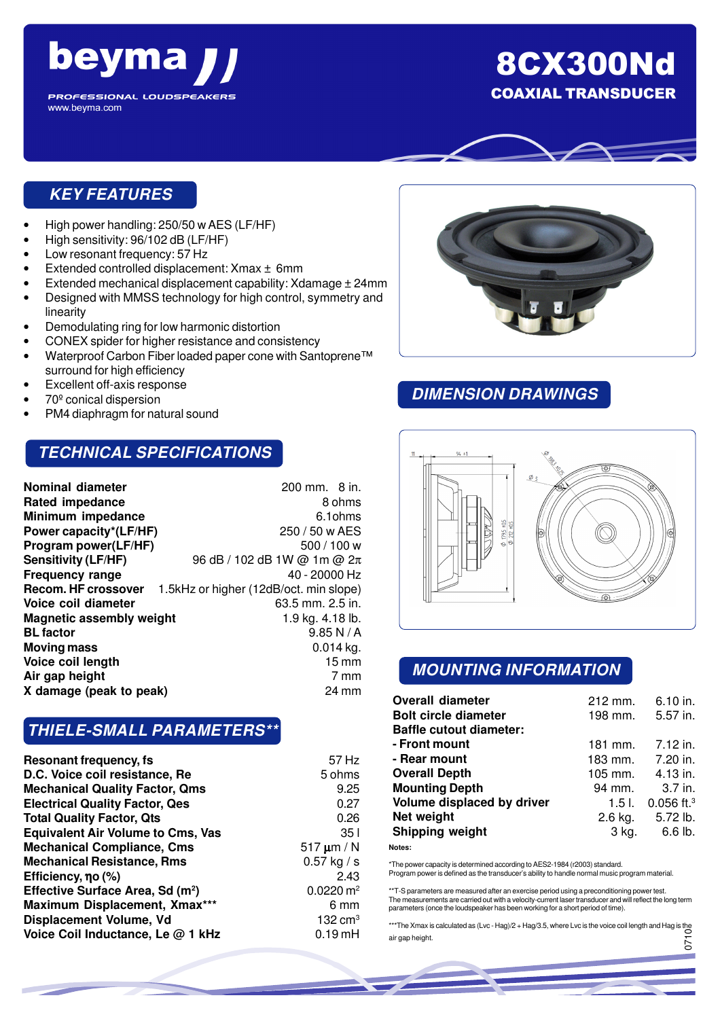

8CX300Nd COAXIAL TRANSDUCER

### **KEY FEATURES**

- High power handling: 250/50 w AES (LF/HF)
- High sensitivity: 96/102 dB (LF/HF)
- Low resonant frequency: 57 Hz
- Extended controlled displacement: Xmax ± 6mm
- Extended mechanical displacement capability: Xdamage ± 24mm
- Designed with MMSS technology for high control, symmetry and linearity
- Demodulating ring for low harmonic distortion
- CONEX spider for higher resistance and consistency
- Waterproof Carbon Fiber loaded paper cone with Santoprene™ surround for high efficiency
- Excellent off-axis response
- 70º conical dispersion
- PM4 diaphragm for natural sound

#### **TECHNICAL SPECIFICATIONS**

| <b>Nominal diameter</b>         | 200 mm. 8 in.                          |
|---------------------------------|----------------------------------------|
| <b>Rated impedance</b>          | 8 ohms                                 |
| Minimum impedance               | 6.1 ohms                               |
| Power capacity*(LF/HF)          | 250 / 50 w AES                         |
| Program power(LF/HF)            | 500/100 w                              |
| <b>Sensitivity (LF/HF)</b>      | 96 dB / 102 dB 1W @ 1m @ 2π            |
| <b>Frequency range</b>          | 40 - 20000 Hz                          |
| Recom. HF crossover             | 1.5kHz or higher (12dB/oct. min slope) |
| Voice coil diameter             | 63.5 mm. 2.5 in.                       |
| <b>Magnetic assembly weight</b> | 1.9 kg. 4.18 lb.                       |
| <b>BL</b> factor                | 9.85 N/A                               |
| <b>Moving mass</b>              | $0.014$ kg.                            |
| Voice coil length               | $15 \,\mathrm{mm}$                     |
| Air gap height                  | 7 mm                                   |
| X damage (peak to peak)         | $24 \text{ mm}$                        |

## **THIELE-SMALL PARAMETERS\*\***

| Resonant frequency, fs                       | 57 Hz                |
|----------------------------------------------|----------------------|
| D.C. Voice coil resistance, Re               | 5 ohms               |
| <b>Mechanical Quality Factor, Qms</b>        | 9.25                 |
| <b>Electrical Quality Factor, Qes</b>        | 0.27                 |
| <b>Total Quality Factor, Qts</b>             | 0.26                 |
| <b>Equivalent Air Volume to Cms, Vas</b>     | 35 I                 |
| <b>Mechanical Compliance, Cms</b>            | $517 \mu m/N$        |
| <b>Mechanical Resistance, Rms</b>            | $0.57$ kg / s        |
| Efficiency, $\eta$ o (%)                     | 2.43                 |
| Effective Surface Area, Sd (m <sup>2</sup> ) | $0.0220 \text{ m}^2$ |
| Maximum Displacement, Xmax***                | 6 mm                 |
| Displacement Volume, Vd                      | $132 \text{ cm}^3$   |
| Voice Coil Inductance, Le @ 1 kHz            | $0.19$ mH            |



### **DIMENSION DRAWINGS**



#### **MOUNTING INFORMATION**

| <b>Overall diameter</b><br><b>Bolt circle diameter</b><br><b>Baffle cutout diameter:</b> | 212 mm.<br>198 mm. | 6.10 in.<br>5.57 in.     |
|------------------------------------------------------------------------------------------|--------------------|--------------------------|
| - Front mount                                                                            | 181 mm.            | 7.12 in.                 |
| - Rear mount                                                                             | 183 mm. 7.20 in.   |                          |
| <b>Overall Depth</b>                                                                     | 105 mm.            | 4.13 in.                 |
| <b>Mounting Depth</b>                                                                    | 94 mm.             | $3.7$ in.                |
| Volume displaced by driver                                                               | 1.5 L              | $0.056$ ft. <sup>3</sup> |
| Net weight                                                                               | $2.6$ kg.          | 5.72 lb.                 |
| <b>Shipping weight</b>                                                                   | 3 kg.              | $6.6$ lb.                |
|                                                                                          |                    |                          |

**Notes:**

\*The power capacity is determined according to AES2-1984 (r2003) standard. Program power is defined as the transducer's ability to handle normal music program material.

\*\*T-S parameters are measured after an exercise period using a preconditioning power test. The measurements are carried out with a velocity-current laser transducer and will reflect the long term parameters (once the loudspeaker has been working for a short period of time).

\*\*\*The Xmax is calculated as (Lvc - Hag)/2 + Hag/3.5, where Lvc is the voice coil length and Hag is the air gap height. 0710